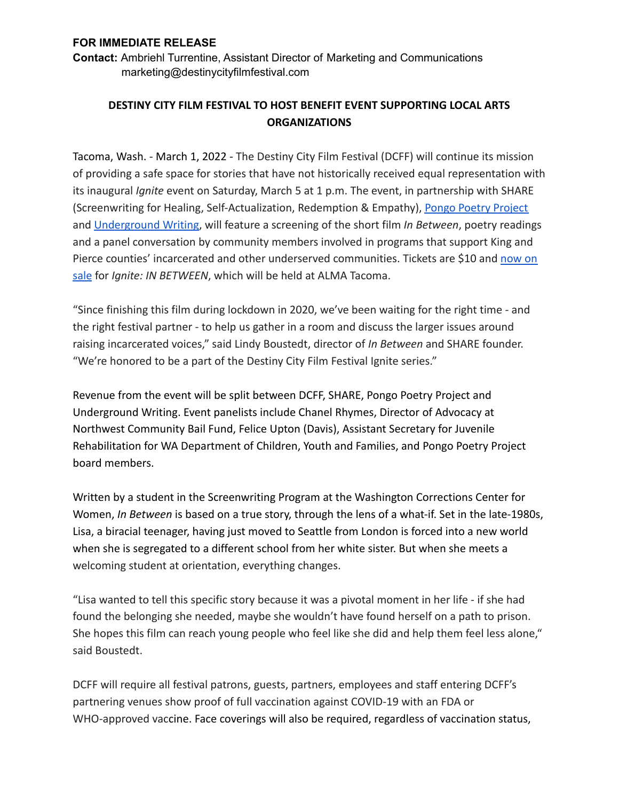## **FOR IMMEDIATE RELEASE**

**Contact:** Ambriehl Turrentine, Assistant Director of Marketing and Communications marketing@destinycityfilmfestival.com

## **DESTINY CITY FILM FESTIVAL TO HOST BENEFIT EVENT SUPPORTING LOCAL ARTS ORGANIZATIONS**

Tacoma, Wash. - March 1, 2022 - The Destiny City Film Festival (DCFF) will continue its mission of providing a safe space for stories that have not historically received equal representation with its inaugural *Ignite* event on Saturday, March 5 at 1 p.m. The event, in partnership with SHARE (Screenwriting for Healing, Self-Actualization, Redemption & Empathy), [Pongo Poetry Project](https://pongopoetryproject.org/) and [Underground Writing,](https://undergroundwriting.org/) will feature a screening of the short film *In Between*, poetry readings and a panel conversation by community members involved in programs that support King and Pierce counties' incarcerated and other underserved communities. Tickets are \$10 and [now on](https://www.ticketweb.com/event/ignite-in-between-alma-tickets/11754535) [sale](https://www.ticketweb.com/event/ignite-in-between-alma-tickets/11754535) for *Ignite: IN BETWEEN*, which will be held at ALMA Tacoma.

"Since finishing this film during lockdown in 2020, we've been waiting for the right time - and the right festival partner - to help us gather in a room and discuss the larger issues around raising incarcerated voices," said Lindy Boustedt, director of *In Between* and SHARE founder. "We're honored to be a part of the Destiny City Film Festival Ignite series."

Revenue from the event will be split between DCFF, SHARE, Pongo Poetry Project and Underground Writing. Event panelists include Chanel Rhymes, Director of Advocacy at Northwest Community Bail Fund, Felice Upton (Davis), Assistant Secretary for Juvenile Rehabilitation for WA Department of Children, Youth and Families, and Pongo Poetry Project board members.

Written by a student in the Screenwriting Program at the Washington Corrections Center for Women, *In Between* is based on a true story, through the lens of a what-if. Set in the late-1980s, Lisa, a biracial teenager, having just moved to Seattle from London is forced into a new world when she is segregated to a different school from her white sister. But when she meets a welcoming student at orientation, everything changes.

"Lisa wanted to tell this specific story because it was a pivotal moment in her life - if she had found the belonging she needed, maybe she wouldn't have found herself on a path to prison. She hopes this film can reach young people who feel like she did and help them feel less alone," said Boustedt.

DCFF will require all festival patrons, guests, partners, employees and staff entering DCFF's partnering venues show proof of full vaccination against COVID-19 with an FDA or WHO-approved vaccine. Face coverings will also be required, regardless of vaccination status,